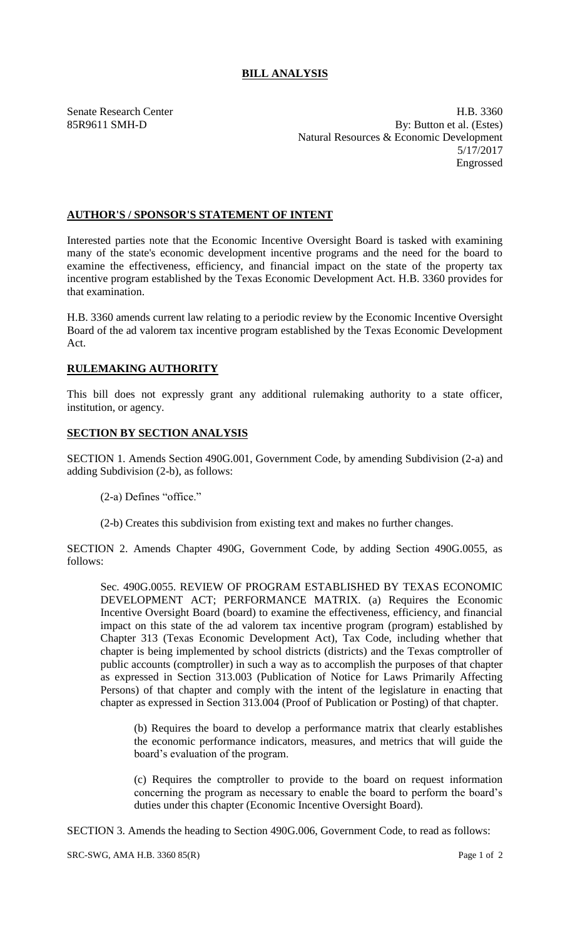## **BILL ANALYSIS**

Senate Research Center **H.B. 3360** 85R9611 SMH-D By: Button et al. (Estes) Natural Resources & Economic Development 5/17/2017 Engrossed

## **AUTHOR'S / SPONSOR'S STATEMENT OF INTENT**

Interested parties note that the Economic Incentive Oversight Board is tasked with examining many of the state's economic development incentive programs and the need for the board to examine the effectiveness, efficiency, and financial impact on the state of the property tax incentive program established by the Texas Economic Development Act. H.B. 3360 provides for that examination.

H.B. 3360 amends current law relating to a periodic review by the Economic Incentive Oversight Board of the ad valorem tax incentive program established by the Texas Economic Development Act.

## **RULEMAKING AUTHORITY**

This bill does not expressly grant any additional rulemaking authority to a state officer, institution, or agency.

## **SECTION BY SECTION ANALYSIS**

SECTION 1. Amends Section 490G.001, Government Code, by amending Subdivision (2-a) and adding Subdivision (2-b), as follows:

- (2-a) Defines "office."
- (2-b) Creates this subdivision from existing text and makes no further changes.

SECTION 2. Amends Chapter 490G, Government Code, by adding Section 490G.0055, as follows:

Sec. 490G.0055. REVIEW OF PROGRAM ESTABLISHED BY TEXAS ECONOMIC DEVELOPMENT ACT; PERFORMANCE MATRIX. (a) Requires the Economic Incentive Oversight Board (board) to examine the effectiveness, efficiency, and financial impact on this state of the ad valorem tax incentive program (program) established by Chapter 313 (Texas Economic Development Act), Tax Code, including whether that chapter is being implemented by school districts (districts) and the Texas comptroller of public accounts (comptroller) in such a way as to accomplish the purposes of that chapter as expressed in Section 313.003 (Publication of Notice for Laws Primarily Affecting Persons) of that chapter and comply with the intent of the legislature in enacting that chapter as expressed in Section 313.004 (Proof of Publication or Posting) of that chapter.

(b) Requires the board to develop a performance matrix that clearly establishes the economic performance indicators, measures, and metrics that will guide the board's evaluation of the program.

(c) Requires the comptroller to provide to the board on request information concerning the program as necessary to enable the board to perform the board's duties under this chapter (Economic Incentive Oversight Board).

SECTION 3. Amends the heading to Section 490G.006, Government Code, to read as follows: